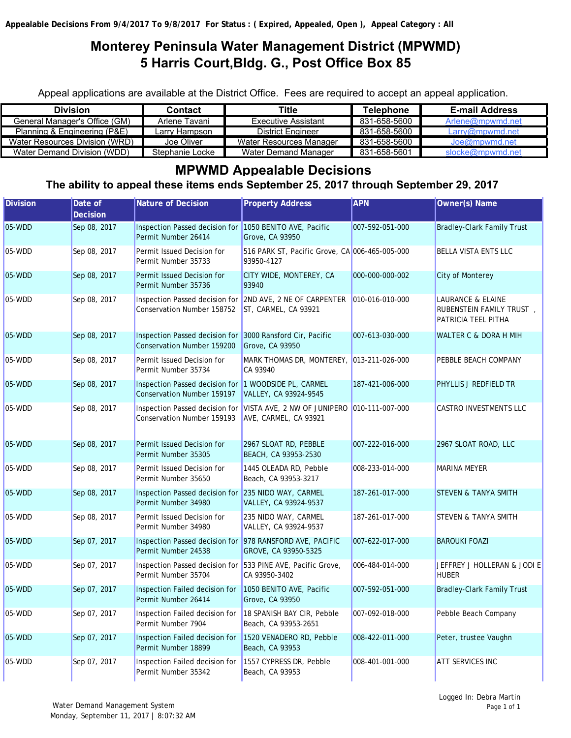## **Monterey Peninsula Water Management District (MPWMD) 5 Harris Court,Bldg. G., Post Office Box 85**

Appeal applications are available at the District Office. Fees are required to accept an appeal application.

| <b>Division</b>                | Contact         | Title                    | Telephone    | <b>E-mail Address</b> |
|--------------------------------|-----------------|--------------------------|--------------|-----------------------|
| General Manager's Office (GM)  | Arlene Tavani   | Executive Assistant      | 831-658-5600 | Arlene@mpwmd.net      |
| Planning & Engineering (P&E)   | Larry Hampson   | <b>District Engineer</b> | 831-658-5600 | Larrow@mpwmd.net      |
| Water Resources Division (WRD) | Joe Oliver      | Water Resources Manager  | 831-658-5600 | Joe@mpwmd.net         |
| Water Demand Division (WDD)    | Stephanie Locke | Water Demand Manager     | 831-658-5601 | slocke@mpwmd.net      |

## **MPWMD Appealable Decisions**

**The ability to appeal these items ends September 25, 2017 through September 29, 2017**

| <b>Division</b> | Date of<br><b>Decision</b> | <b>Nature of Decision</b>                                                               | <b>Property Address</b>                                                                             | <b>APN</b>      | Owner(s) Name                                                                   |
|-----------------|----------------------------|-----------------------------------------------------------------------------------------|-----------------------------------------------------------------------------------------------------|-----------------|---------------------------------------------------------------------------------|
| 05-WDD          | Sep 08, 2017               | Inspection Passed decision for 1050 BENITO AVE, Pacific<br>Permit Number 26414          | Grove, CA 93950                                                                                     | 007-592-051-000 | <b>Bradley-Clark Family Trust</b>                                               |
| 05-WDD          | Sep 08, 2017               | Permit Issued Decision for<br>Permit Number 35733                                       | 516 PARK ST, Pacific Grove, CA 006-465-005-000<br>93950-4127                                        |                 | <b>BELLA VISTA ENTS LLC</b>                                                     |
| 05-WDD          | Sep 08, 2017               | Permit Issued Decision for<br>Permit Number 35736                                       | CITY WIDE, MONTEREY, CA<br>93940                                                                    | 000-000-000-002 | <b>City of Monterey</b>                                                         |
| 05-WDD          | Sep 08, 2017               | Conservation Number 158752                                                              | Inspection Passed decision for 2ND AVE, 2 NE OF CARPENTER 010-016-010-000<br>ST, CARMEL, CA 93921   |                 | <b>LAURANCE &amp; ELAINE</b><br>RUBENSTEIN FAMILY TRUST,<br>PATRICIA TEEL PITHA |
| 05-WDD          | Sep 08, 2017               | Inspection Passed decision for 3000 Ransford Cir, Pacific<br>Conservation Number 159200 | Grove, CA 93950                                                                                     | 007-613-030-000 | WALTER C & DORA H MIH                                                           |
| 05-WDD          | Sep 08, 2017               | Permit Issued Decision for<br>Permit Number 35734                                       | MARK THOMAS DR, MONTEREY, 013-211-026-000<br>CA 93940                                               |                 | PEBBLE BEACH COMPANY                                                            |
| 05-WDD          | Sep 08, 2017               | Inspection Passed decision for 1 WOODSIDE PL, CARMEL<br>Conservation Number 159197      | VALLEY, CA 93924-9545                                                                               | 187-421-006-000 | PHYLLIS J REDFIELD TR                                                           |
| 05-WDD          | Sep 08, 2017               | <b>Conservation Number 159193</b>                                                       | Inspection Passed decision for VISTA AVE, 2 NW OF JUNIPERO 010-111-007-000<br>AVE, CARMEL, CA 93921 |                 | <b>CASTRO INVESTMENTS LLC</b>                                                   |
| 05-WDD          | Sep 08, 2017               | Permit Issued Decision for<br>Permit Number 35305                                       | 2967 SLOAT RD, PEBBLE<br>BEACH, CA 93953-2530                                                       | 007-222-016-000 | 2967 SLOAT ROAD, LLC                                                            |
| 05-WDD          | Sep 08, 2017               | Permit Issued Decision for<br>Permit Number 35650                                       | 1445 OLEADA RD, Pebble<br>Beach, CA 93953-3217                                                      | 008-233-014-000 | <b>MARINA MEYER</b>                                                             |
| 05-WDD          | Sep 08, 2017               | Inspection Passed decision for 235 NIDO WAY, CARMEL<br>Permit Number 34980              | VALLEY, CA 93924-9537                                                                               | 187-261-017-000 | <b>STEVEN &amp; TANYA SMITH</b>                                                 |
| 05-WDD          | Sep 08, 2017               | Permit Issued Decision for<br>Permit Number 34980                                       | 235 NIDO WAY, CARMEL<br>VALLEY, CA 93924-9537                                                       | 187-261-017-000 | <b>STEVEN &amp; TANYA SMITH</b>                                                 |
| 05-WDD          | Sep 07, 2017               | Inspection Passed decision for 978 RANSFORD AVE, PACIFIC<br>Permit Number 24538         | GROVE, CA 93950-5325                                                                                | 007-622-017-000 | <b>BAROUKI FOAZI</b>                                                            |
| 05-WDD          | Sep 07, 2017               | Inspection Passed decision for 533 PINE AVE, Pacific Grove,<br>Permit Number 35704      | CA 93950-3402                                                                                       | 006-484-014-000 | JEFFREY J HOLLERAN & JODI E<br><b>HUBER</b>                                     |
| 05-WDD          | Sep 07, 2017               | Inspection Failed decision for 1050 BENITO AVE, Pacific<br>Permit Number 26414          | Grove, CA 93950                                                                                     | 007-592-051-000 | <b>Bradley-Clark Family Trust</b>                                               |
| 05-WDD          | Sep 07, 2017               | Inspection Failed decision for<br>Permit Number 7904                                    | 18 SPANISH BAY CIR, Pebble<br>Beach, CA 93953-2651                                                  | 007-092-018-000 | Pebble Beach Company                                                            |
| 05-WDD          | Sep 07, 2017               | Inspection Failed decision for<br>Permit Number 18899                                   | 1520 VENADERO RD, Pebble<br>Beach, CA 93953                                                         | 008-422-011-000 | Peter, trustee Vaughn                                                           |
| 05-WDD          | Sep 07, 2017               | Inspection Failed decision for<br>Permit Number 35342                                   | 1557 CYPRESS DR, Pebble<br>Beach, CA 93953                                                          | 008-401-001-000 | <b>ATT SERVICES INC</b>                                                         |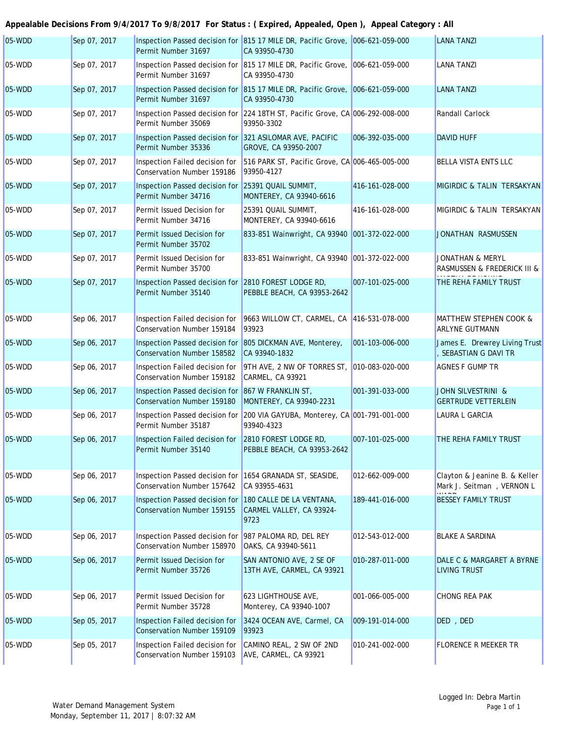## **Appealable Decisions From 9/4/2017 To 9/8/2017 For Status : ( Expired, Appealed, Open ), Appeal Category : All**

| $05-WDD$ | Sep 07, 2017 | Permit Number 31697                                                                     | Inspection Passed decision for 815 17 MILE DR, Pacific Grove, 006-621-059-000<br>CA 93950-4730 |                 | <b>LANA TANZI</b>                                          |
|----------|--------------|-----------------------------------------------------------------------------------------|------------------------------------------------------------------------------------------------|-----------------|------------------------------------------------------------|
| 05-WDD   | Sep 07, 2017 | Permit Number 31697                                                                     | Inspection Passed decision for 815 17 MILE DR, Pacific Grove, 006-621-059-000<br>CA 93950-4730 |                 | <b>LANA TANZI</b>                                          |
| 05-WDD   | Sep 07, 2017 | Permit Number 31697                                                                     | Inspection Passed decision for 815 17 MILE DR, Pacific Grove, 006-621-059-000<br>CA 93950-4730 |                 | <b>LANA TANZI</b>                                          |
| 05-WDD   | Sep 07, 2017 | Permit Number 35069                                                                     | Inspection Passed decision for 224 18TH ST, Pacific Grove, CA 006-292-008-000<br>93950-3302    |                 | Randall Carlock                                            |
| 05-WDD   | Sep 07, 2017 | Inspection Passed decision for 321 ASILOMAR AVE, PACIFIC<br>Permit Number 35336         | GROVE, CA 93950-2007                                                                           | 006-392-035-000 | <b>DAVID HUFF</b>                                          |
| 05-WDD   | Sep 07, 2017 | Inspection Failed decision for<br>Conservation Number 159186                            | 516 PARK ST, Pacific Grove, CA 006-465-005-000<br>93950-4127                                   |                 | BELLA VISTA ENTS LLC                                       |
| 05-WDD   | Sep 07, 2017 | Inspection Passed decision for 25391 QUAIL SUMMIT,<br>Permit Number 34716               | MONTEREY, CA 93940-6616                                                                        | 416-161-028-000 | MIGIRDIC & TALIN TERSAKYAN                                 |
| 05-WDD   | Sep 07, 2017 | Permit Issued Decision for<br>Permit Number 34716                                       | 25391 QUAIL SUMMIT,<br>MONTEREY, CA 93940-6616                                                 | 416-161-028-000 | MIGIRDIC & TALIN TERSAKYAN                                 |
| 05-WDD   | Sep 07, 2017 | Permit Issued Decision for<br>Permit Number 35702                                       | 833-851 Wainwright, CA 93940 001-372-022-000                                                   |                 | JONATHAN RASMUSSEN                                         |
| 05-WDD   | Sep 07, 2017 | Permit Issued Decision for<br>Permit Number 35700                                       | 833-851 Wainwright, CA 93940 001-372-022-000                                                   |                 | <b>JONATHAN &amp; MERYL</b><br>RASMUSSEN & FREDERICK III & |
| 05-WDD   | Sep 07, 2017 | Inspection Passed decision for 2810 FOREST LODGE RD,<br>Permit Number 35140             | <b>PEBBLE BEACH, CA 93953-2642</b>                                                             | 007-101-025-000 | THE REHA FAMILY TRUST                                      |
| 05-WDD   | Sep 06, 2017 | Inspection Failed decision for<br>Conservation Number 159184                            | 9663 WILLOW CT, CARMEL, CA 416-531-078-000<br>93923                                            |                 | MATTHEW STEPHEN COOK &<br><b>ARLYNE GUTMANN</b>            |
| 05-WDD   | Sep 06, 2017 | Inspection Passed decision for 805 DICKMAN AVE, Monterey,<br>Conservation Number 158582 | CA 93940-1832                                                                                  | 001-103-006-000 | James E. Drewrey Living Trust<br>SEBASTIAN G DAVI TR       |
| 05-WDD   | Sep 06, 2017 | Inspection Failed decision for<br>Conservation Number 159182                            | 9TH AVE, 2 NW OF TORRES ST, 010-083-020-000<br><b>CARMEL, CA 93921</b>                         |                 | <b>AGNES F GUMP TR</b>                                     |
| 05-WDD   | Sep 06, 2017 | Inspection Passed decision for 867 W FRANKLIN ST,<br>Conservation Number 159180         | MONTEREY, CA 93940-2231                                                                        | 001-391-033-000 | JOHN SILVESTRINI &<br><b>GERTRUDE VETTERLEIN</b>           |
| 05-WDD   | Sep 06, 2017 | Permit Number 35187                                                                     | Inspection Passed decision for 200 VIA GAYUBA, Monterey, CA 001-791-001-000<br>93940-4323      |                 | LAURA L GARCIA                                             |
| 05-WDD   | Sep 06, 2017 | Inspection Failed decision for 2810 FOREST LODGE RD,<br>Permit Number 35140             | PEBBLE BEACH, CA 93953-2642                                                                    | 007-101-025-000 | THE REHA FAMILY TRUST                                      |
| 05-WDD   | Sep 06, 2017 | Inspection Passed decision for 1654 GRANADA ST, SEASIDE,<br>Conservation Number 157642  | CA 93955-4631                                                                                  | 012-662-009-000 | Clayton & Jeanine B. & Keller<br>Mark J. Seitman, VERNON L |
| 05-WDD   | Sep 06, 2017 | Inspection Passed decision for 180 CALLE DE LA VENTANA,<br>Conservation Number 159155   | CARMEL VALLEY, CA 93924-<br>9723                                                               | 189-441-016-000 | <b>BESSEY FAMILY TRUST</b>                                 |
| 05-WDD   | Sep 06, 2017 | Inspection Passed decision for 987 PALOMA RD, DEL REY<br>Conservation Number 158970     | OAKS, CA 93940-5611                                                                            | 012-543-012-000 | <b>BLAKE A SARDINA</b>                                     |
| 05-WDD   | Sep 06, 2017 | Permit Issued Decision for<br>Permit Number 35726                                       | SAN ANTONIO AVE, 2 SE OF<br>13TH AVE, CARMEL, CA 93921                                         | 010-287-011-000 | DALE C & MARGARET A BYRNE<br><b>LIVING TRUST</b>           |
| 05-WDD   | Sep 06, 2017 | Permit Issued Decision for<br>Permit Number 35728                                       | 623 LIGHTHOUSE AVE,<br>Monterey, CA 93940-1007                                                 | 001-066-005-000 | CHONG REA PAK                                              |
| 05-WDD   | Sep 05, 2017 | Inspection Failed decision for<br>Conservation Number 159109                            | 3424 OCEAN AVE, Carmel, CA<br>93923                                                            | 009-191-014-000 | DED, DED                                                   |
| 05-WDD   | Sep 05, 2017 | Inspection Failed decision for<br>Conservation Number 159103                            | CAMINO REAL, 2 SW OF 2ND<br>AVE, CARMEL, CA 93921                                              | 010-241-002-000 | <b>FLORENCE R MEEKER TR</b>                                |